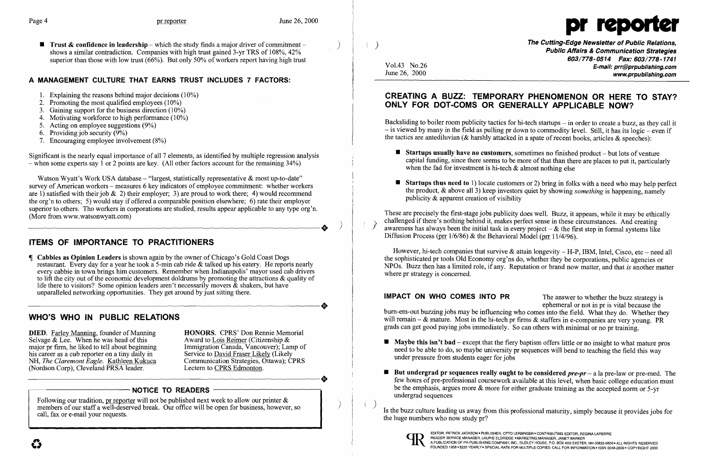**• Trust & confidence in leadership** – which the study finds a major driver of commitment – shows a similar contradiction. Companies with high trust gained 3-yr TRS of 108%, 42% superior than those with low trust  $(66%)$ . But only 50% of workers report having high trust



# A MANAGEMENT CULTURE THAT EARNS TRUST INCLUDES 7 FACTORS:

- 1. Explaining the reasons behind major decisions  $(10\%)$
- 2. Promoting the most qualified employees  $(10\%)$
- 3. Gaining support for the business direction  $(10\%)$
- 4. Motivating workforce to high performance  $(10\%)$
- 5. Acting on employee suggestions (9%)
- 6. Providing job security  $(9\%)$
- 7. Encouraging employee involvement (8%)

Significant is the nearly equal importance of all 7 elements, as identified by multiple regression analysis  $-$  when some experts say 1 or 2 points are key. (All other factors account for the remaining 34%)

Watson Wyatt's Work USA database  $-$  "largest, statistically representative & most up-to-date" survey of American workers – measures 6 key indicators of employee commitment: whether workers are 1) satisfied with their job & 2) their employer; 3) are proud to work there; 4) would recommend the org'n to others; 5) would stay if offered a comparable position elsewhere; 6) rate their employer superior to others. Tho workers in corporations are studied, results appear applicable to any type org'n.<br>
(More from www.watsonwyatt.com) (More from www.watsonwyatt.com)

 Cabbies as Opinion Leaders is shown again by the owner of Chicago's Gold Coast Dogs restaurant. Every day for a year he took a 5-min cab ride & talked up his eatery. He reports nearly every cabbie in town brings him customers. Remember when Indianapolis' mayor used cab drivers to lift the city out of the economic development doldrums by promoting the attractions & quality of life there to visitors? Some opinion leaders aren't necessarily movers  $\&$  shakers, but have unparalleled networking opportunities. They get around by just sitting there. life there to visitors? Some opinion leaders aren't necessarily movers & shakers, but have<br>unparalleled networking opportunities. They get around by just sitting there.

Following our tradition, pr reporter will not be published next week to allow our printer  $\&$  members of our staff a well-deserved break. Our office will be open for business, however, so call, fax or e-mail your requests.

# ITEMS OF IMPORTANCE TO PRACTITIONERS

Backsliding to boiler room publicity tactics for hi-tech startups  $-$  in order to create a buzz, as they call it  $-$  is viewed by many in the field as pulling pr down to commodity level. Still, it has its logic  $-$  even if the tactics are antediluvian (& harshly attacked in a spate of recent books, articles & speeches):

 $\blacksquare$  Startups thus need to 1) locate customers or 2) bring in folks with a need who may help perfect the product, & above all 3) keep investors quiet by showing *something* is happening, namely

- when the fad for investment is hi-tech & almost nothing else
- publicity & apparent creation of visibility

These are precisely the first-stage jobs publicity does well. Buzz, it appears, while it may be ethically challenged if there's nothing behind it, makes perfect sense in these circumstances. And creating challenged if there's nothing behind it, makes perfect sense in these circumstances. And creating awareness has always been the initial task in every project - & the first step in formal systems like Diffusion Process (prr 1/6/86) & the Behavioral Model (prr 11/4/96).

# WHO'S WHO IN PUBLIC RELATIONS

**DIED.** Farley Manning, founder of Manning **HONORS.** CPRS' Don Rennie Memorial Selvage & Lee. When he was head of this Award to Lois Reimer (Citizenship & Selvage & Lee. When he was head of this Award to Lois Reimer (Citizenship & major pr firm, he liked to tell about beginning Immigration Canada, Vancouver); Lamp of major pr firm, he liked to tell about beginning Immigration Canada, Vancouver); Lam<br>his career as a cub reporter on a tiny daily in Service to David Fraser Likely (Likely his career as a cub reporter on a tiny daily in Service to David Fraser Likely (Likely NH, The Claremont Eagle. Kathleen Kukuca Communication Strategies, Ottawa); CPRS NH, *The Claremont Eagle.* **Kathleen Kukuca** Communication Strategies, C<br>(Nordson Corp), Cleveland PRSA leader. Lectern to CPRS Edmonton. (Nordson Corp), Cleveland PRSA leader. NH, The Claremont Eagle. Kathleen Kukuca Communication Strategies, Ottawa); CPRS<br>(Nordson Corp), Cleveland PRSA leader. Lectern to CPRS Edmonton.

# - NOTICE TO READERS

However, hi-tech companies that survive  $\&$  attain longevity  $-$  H-P, IBM, Intel, Cisco, etc  $-$  need all the sophisticated pr tools Old Economy org'ns do, whether they be corporations, public agencies or NPOs. Buzz then has a limited role, if any. Reputation or brand now matter, and that *is* another matter where pr strategy is concerned.

IMPACT ON WHO COMES INTO PR The answer to whether the buzz strategy is ephemeral or not in pr is vital because the burn-em-out buzzing jobs may be influencing who comes into the field. What they do. Whether they will remain - & mature. Most in the hi-tech pr firms & staffers in e-companies are very young. PR grads can get good paying jobs immediately. So can others with minimal or no pr training.

few hours of pre-professional coursework available at this level, when basic college education must be the emphasis, argues more & more for either graduate training as the accepted norm or 5-yr

- $\blacksquare$  Maybe this isn't bad except that the fiery baptism offers little or no insight to what mature pros under pressure from students eager for jobs
- $\blacksquare$  But undergrad pr sequences really ought to be considered  $pre-pr a$  la pre-law or pre-med. The undergrad sequences

Vol.43 No.26 June 26, 2000

 $\left( \begin{array}{c} \end{array} \right)$ 

Is the buzz culture leading us away from this professional maturity, simply because it provides jobs for the huge numbers who now study pr?



The Cutting-Edge Newsletter of Public Relations, Public Affairs & Communication Strategies *603/778-0514 Fax: 603/778-1741*  E-mail: prr@prpublishing.com www.prpublishing.com

 $\blacksquare$  Startups usually have no customers, sometimes no finished product  $-\text{but lots of venture}$ capital funding, since there seems to be more of that than there are places to put it, particularly

# CREATING A BUZZ: TEMPORARY PHENOMENON OR HERE TO STAY? ONLY FOR DOT-COMS OR GENERALLY APPLICABLE NOW?

need to be able to do, so maybe university pr sequences will bend to teaching the field this way